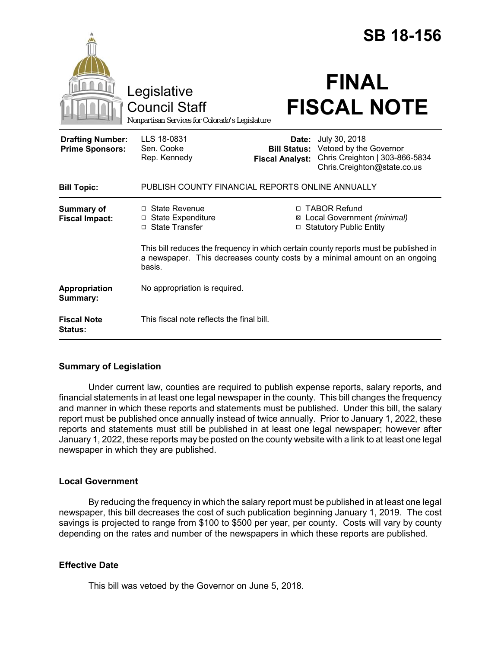|                                                   |                                                                                                                                                                              |                                                        | <b>SB 18-156</b>                                                                                         |
|---------------------------------------------------|------------------------------------------------------------------------------------------------------------------------------------------------------------------------------|--------------------------------------------------------|----------------------------------------------------------------------------------------------------------|
|                                                   | Legislative<br><b>Council Staff</b><br>Nonpartisan Services for Colorado's Legislature                                                                                       |                                                        | <b>FINAL</b><br><b>FISCAL NOTE</b>                                                                       |
| <b>Drafting Number:</b><br><b>Prime Sponsors:</b> | LLS 18-0831<br>Sen. Cooke<br>Rep. Kennedy                                                                                                                                    | Date:<br><b>Bill Status:</b><br><b>Fiscal Analyst:</b> | July 30, 2018<br>Vetoed by the Governor<br>Chris Creighton   303-866-5834<br>Chris.Creighton@state.co.us |
| <b>Bill Topic:</b>                                | PUBLISH COUNTY FINANCIAL REPORTS ONLINE ANNUALLY                                                                                                                             |                                                        |                                                                                                          |
| <b>Summary of</b><br><b>Fiscal Impact:</b>        | $\Box$ State Revenue<br>□ State Expenditure<br>□ State Transfer                                                                                                              |                                                        | □ TABOR Refund<br>⊠ Local Government (minimal)<br><b>Statutory Public Entity</b>                         |
|                                                   | This bill reduces the frequency in which certain county reports must be published in<br>a newspaper. This decreases county costs by a minimal amount on an ongoing<br>basis. |                                                        |                                                                                                          |
| Appropriation<br>Summary:                         | No appropriation is required.                                                                                                                                                |                                                        |                                                                                                          |
| <b>Fiscal Note</b><br><b>Status:</b>              | This fiscal note reflects the final bill.                                                                                                                                    |                                                        |                                                                                                          |

## **Summary of Legislation**

Under current law, counties are required to publish expense reports, salary reports, and financial statements in at least one legal newspaper in the county. This bill changes the frequency and manner in which these reports and statements must be published. Under this bill, the salary report must be published once annually instead of twice annually. Prior to January 1, 2022, these reports and statements must still be published in at least one legal newspaper; however after January 1, 2022, these reports may be posted on the county website with a link to at least one legal newspaper in which they are published.

## **Local Government**

By reducing the frequency in which the salary report must be published in at least one legal newspaper, this bill decreases the cost of such publication beginning January 1, 2019. The cost savings is projected to range from \$100 to \$500 per year, per county. Costs will vary by county depending on the rates and number of the newspapers in which these reports are published.

## **Effective Date**

This bill was vetoed by the Governor on June 5, 2018.